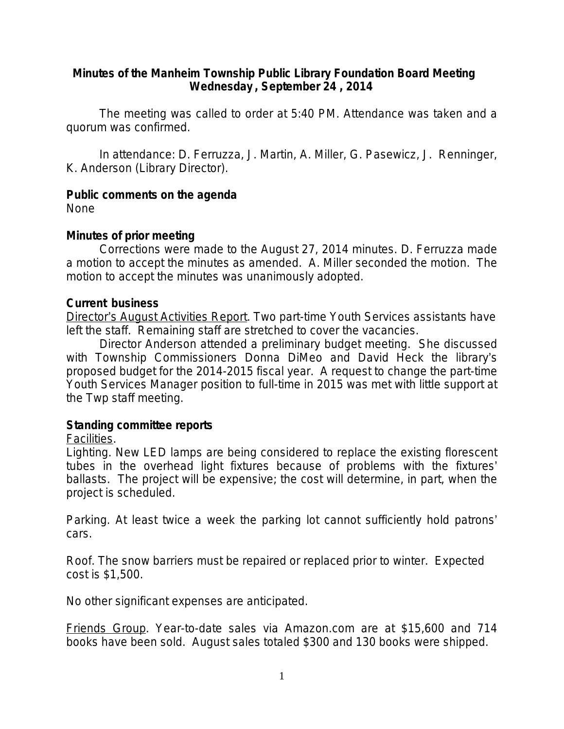### **Minutes of the Manheim Township Public Library Foundation Board Meeting Wednesday , September 24 , 2014**

The meeting was called to order at 5:40 PM. Attendance was taken and a quorum was confirmed.

In attendance: D. Ferruzza, J. Martin, A. Miller, G. Pasewicz, J. Renninger, K. Anderson (Library Director).

### **Public comments on the agenda**

None

# **Minutes of prior meeting**

Corrections were made to the August 27, 2014 minutes. D. Ferruzza made a motion to accept the minutes as amended. A. Miller seconded the motion. The motion to accept the minutes was unanimously adopted.

### **Current business**

Director's August Activities Report. Two part-time Youth Services assistants have left the staff. Remaining staff are stretched to cover the vacancies.

Director Anderson attended a preliminary budget meeting. She discussed with Township Commissioners Donna DiMeo and David Heck the library's proposed budget for the 2014-2015 fiscal year. A request to change the part-time Youth Services Manager position to full-time in 2015 was met with little support at the Twp staff meeting.

# **Standing committee reports**

Facilities*.*

*Lighting*. New LED lamps are being considered to replace the existing florescent tubes in the overhead light fixtures because of problems with the fixtures' ballasts. The project will be expensive; the cost will determine, in part, when the project is scheduled.

*Parking*. At least twice a week the parking lot cannot sufficiently hold patrons' cars.

*Roof*. The snow barriers must be repaired or replaced prior to winter. Expected cost is \$1,500.

No other significant expenses are anticipated.

Friends Group*.* Year-to-date sales via Amazon.com are at \$15,600 and 714 books have been sold. August sales totaled \$300 and 130 books were shipped.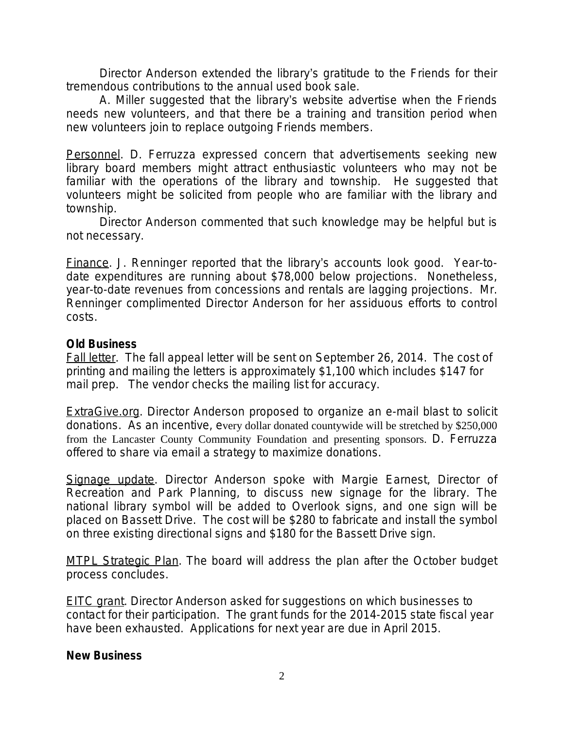Director Anderson extended the library's gratitude to the Friends for their tremendous contributions to the annual used book sale.

A. Miller suggested that the library's website advertise when the Friends needs new volunteers, and that there be a training and transition period when new volunteers join to replace outgoing Friends members.

Personnel. D. Ferruzza expressed concern that advertisements seeking new library board members might attract enthusiastic volunteers who may not be familiar with the operations of the library and township. He suggested that volunteers might be solicited from people who are familiar with the library and township.

Director Anderson commented that such knowledge may be helpful but is not necessary.

Finance*.* J. Renninger reported that the library's accounts look good. Year-todate expenditures are running about \$78,000 below projections. Nonetheless, year-to-date revenues from concessions and rentals are lagging projections. Mr. Renninger complimented Director Anderson for her assiduous efforts to control costs.

#### **Old Business**

Fall letter. The fall appeal letter will be sent on September 26, 2014. The cost of printing and mailing the letters is approximately \$1,100 which includes \$147 for mail prep. The vendor checks the mailing list for accuracy.

ExtraGive.org. Director Anderson proposed to organize an e-mail blast to solicit donations. As an incentive, every dollar donated countywide will be stretched by \$250,000 from the Lancaster County Community Foundation and presenting sponsors. D. Ferruzza offered to share via email a strategy to maximize donations.

Signage update*.* Director Anderson spoke with Margie Earnest, Director of Recreation and Park Planning, to discuss new signage for the library. The national library symbol will be added to Overlook signs, and one sign will be placed on Bassett Drive. The cost will be \$280 to fabricate and install the symbol on three existing directional signs and \$180 for the Bassett Drive sign.

MTPL Strategic Plan. The board will address the plan after the October budget process concludes.

**EITC grant.** Director Anderson asked for suggestions on which businesses to contact for their participation. The grant funds for the 2014-2015 state fiscal year have been exhausted. Applications for next year are due in April 2015.

#### **New Business**